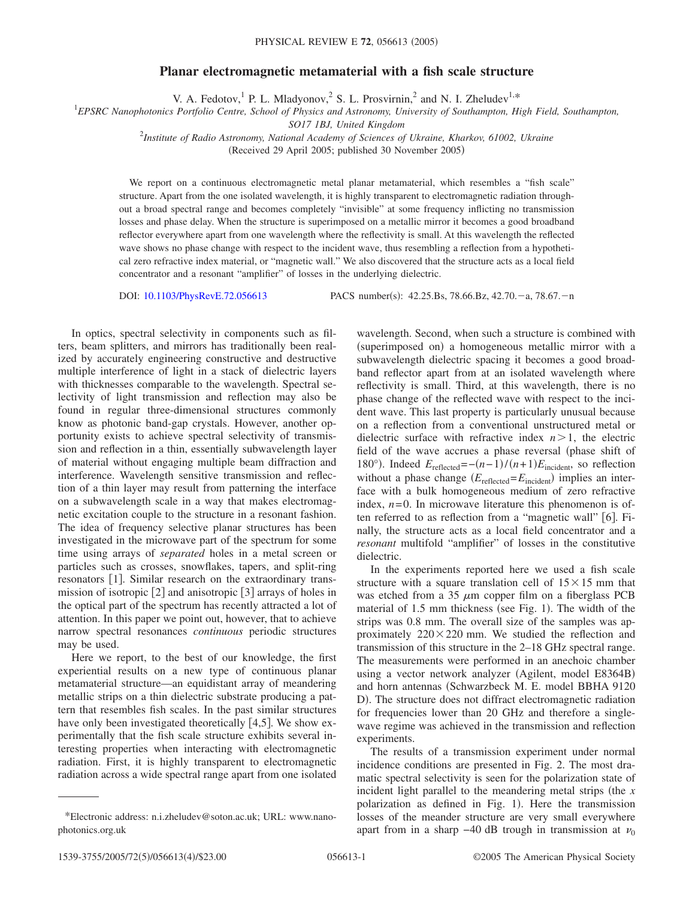## **Planar electromagnetic metamaterial with a fish scale structure**

V. A. Fedotov,<sup>1</sup> P. L. Mladyonov,<sup>2</sup> S. L. Prosvirnin,<sup>2</sup> and N. I. Zheludev<sup>1,\*</sup>

*EPSRC Nanophotonics Portfolio Centre, School of Physics and Astronomy, University of Southampton, High Field, Southampton,*

*SO17 1BJ, United Kingdom*

2 *Institute of Radio Astronomy, National Academy of Sciences of Ukraine, Kharkov, 61002, Ukraine*

(Received 29 April 2005; published 30 November 2005)

We report on a continuous electromagnetic metal planar metamaterial, which resembles a "fish scale" structure. Apart from the one isolated wavelength, it is highly transparent to electromagnetic radiation throughout a broad spectral range and becomes completely "invisible" at some frequency inflicting no transmission losses and phase delay. When the structure is superimposed on a metallic mirror it becomes a good broadband reflector everywhere apart from one wavelength where the reflectivity is small. At this wavelength the reflected wave shows no phase change with respect to the incident wave, thus resembling a reflection from a hypothetical zero refractive index material, or "magnetic wall." We also discovered that the structure acts as a local field concentrator and a resonant "amplifier" of losses in the underlying dielectric.

DOI: [10.1103/PhysRevE.72.056613](http://dx.doi.org/10.1103/PhysRevE.72.056613)

PACS number(s):  $42.25$ .Bs, 78.66.Bz,  $42.70$ . $-a$ , 78.67. $-n$ 

In optics, spectral selectivity in components such as filters, beam splitters, and mirrors has traditionally been realized by accurately engineering constructive and destructive multiple interference of light in a stack of dielectric layers with thicknesses comparable to the wavelength. Spectral selectivity of light transmission and reflection may also be found in regular three-dimensional structures commonly know as photonic band-gap crystals. However, another opportunity exists to achieve spectral selectivity of transmission and reflection in a thin, essentially subwavelength layer of material without engaging multiple beam diffraction and interference. Wavelength sensitive transmission and reflection of a thin layer may result from patterning the interface on a subwavelength scale in a way that makes electromagnetic excitation couple to the structure in a resonant fashion. The idea of frequency selective planar structures has been investigated in the microwave part of the spectrum for some time using arrays of *separated* holes in a metal screen or particles such as crosses, snowflakes, tapers, and split-ring resonators [1]. Similar research on the extraordinary transmission of isotropic  $\lceil 2 \rceil$  and anisotropic  $\lceil 3 \rceil$  arrays of holes in the optical part of the spectrum has recently attracted a lot of attention. In this paper we point out, however, that to achieve narrow spectral resonances *continuous* periodic structures may be used.

Here we report, to the best of our knowledge, the first experiential results on a new type of continuous planar metamaterial structure—an equidistant array of meandering metallic strips on a thin dielectric substrate producing a pattern that resembles fish scales. In the past similar structures have only been investigated theoretically  $[4,5]$ . We show experimentally that the fish scale structure exhibits several interesting properties when interacting with electromagnetic radiation. First, it is highly transparent to electromagnetic radiation across a wide spectral range apart from one isolated

wavelength. Second, when such a structure is combined with (superimposed on) a homogeneous metallic mirror with a subwavelength dielectric spacing it becomes a good broadband reflector apart from at an isolated wavelength where reflectivity is small. Third, at this wavelength, there is no phase change of the reflected wave with respect to the incident wave. This last property is particularly unusual because on a reflection from a conventional unstructured metal or dielectric surface with refractive index  $n > 1$ , the electric field of the wave accrues a phase reversal (phase shift of 180°). Indeed  $E_{\text{reflected}} = -(n-1)/(n+1)E_{\text{incident}}$ , so reflection without a phase change  $(E_{reflected} = E_{incident})$  implies an interface with a bulk homogeneous medium of zero refractive index,  $n=0$ . In microwave literature this phenomenon is often referred to as reflection from a "magnetic wall" [6]. Finally, the structure acts as a local field concentrator and a *resonant* multifold "amplifier" of losses in the constitutive dielectric.

In the experiments reported here we used a fish scale structure with a square translation cell of  $15 \times 15$  mm that was etched from a 35  $\mu$ m copper film on a fiberglass PCB material of 1.5 mm thickness (see Fig. 1). The width of the strips was 0.8 mm. The overall size of the samples was approximately  $220 \times 220$  mm. We studied the reflection and transmission of this structure in the 2–18 GHz spectral range. The measurements were performed in an anechoic chamber using a vector network analyzer (Agilent, model E8364B) and horn antennas (Schwarzbeck M. E. model BBHA 9120 D). The structure does not diffract electromagnetic radiation for frequencies lower than 20 GHz and therefore a singlewave regime was achieved in the transmission and reflection experiments.

The results of a transmission experiment under normal incidence conditions are presented in Fig. 2. The most dramatic spectral selectivity is seen for the polarization state of incident light parallel to the meandering metal strips (the  $x$ polarization as defined in Fig. 1). Here the transmission losses of the meander structure are very small everywhere apart from in a sharp −40 dB trough in transmission at  $\nu_0$ 

<sup>\*</sup>Electronic address: n.i.zheludev@soton.ac.uk; URL: www.nanophotonics.org.uk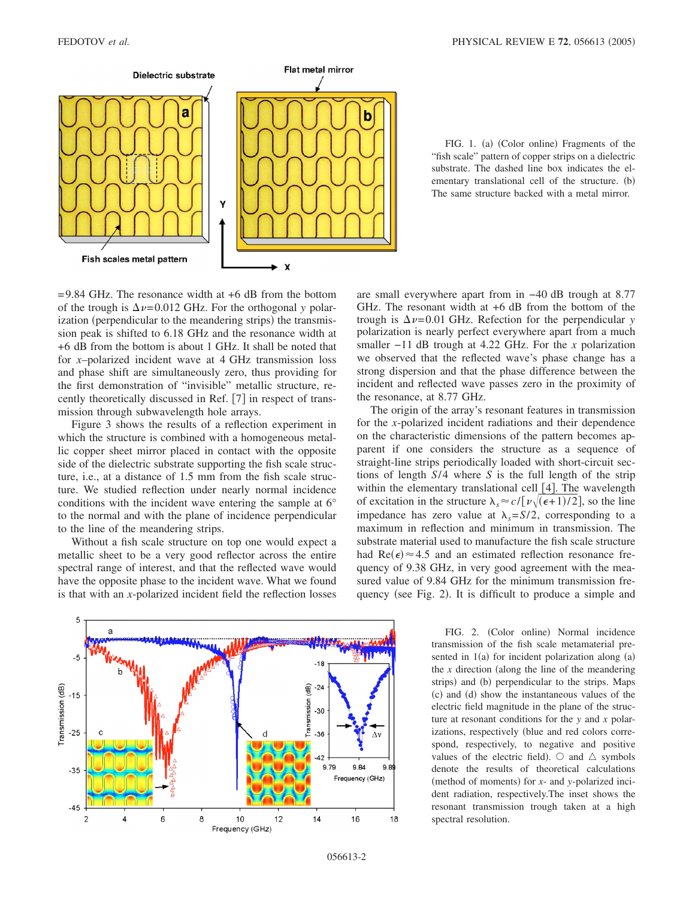

FIG. 1. (a) (Color online) Fragments of the "fish scale" pattern of copper strips on a dielectric substrate. The dashed line box indicates the elementary translational cell of the structure. (b) The same structure backed with a metal mirror.

 $=$  9.84 GHz. The resonance width at  $+6$  dB from the bottom of the trough is  $\Delta \nu = 0.012$  GHz. For the orthogonal *y* polarization (perpendicular to the meandering strips) the transmission peak is shifted to 6.18 GHz and the resonance width at +6 dB from the bottom is about 1 GHz. It shall be noted that for *x*–polarized incident wave at 4 GHz transmission loss and phase shift are simultaneously zero, thus providing for the first demonstration of "invisible" metallic structure, recently theoretically discussed in Ref. [7] in respect of transmission through subwavelength hole arrays.

Figure 3 shows the results of a reflection experiment in which the structure is combined with a homogeneous metallic copper sheet mirror placed in contact with the opposite side of the dielectric substrate supporting the fish scale structure, i.e., at a distance of 1.5 mm from the fish scale structure. We studied reflection under nearly normal incidence conditions with the incident wave entering the sample at 6° to the normal and with the plane of incidence perpendicular to the line of the meandering strips.

Without a fish scale structure on top one would expect a metallic sheet to be a very good reflector across the entire spectral range of interest, and that the reflected wave would have the opposite phase to the incident wave. What we found is that with an *x*-polarized incident field the reflection losses are small everywhere apart from in −40 dB trough at 8.77 GHz. The resonant width at +6 dB from the bottom of the trough is  $\Delta \nu = 0.01$  GHz. Refection for the perpendicular *y* polarization is nearly perfect everywhere apart from a much smaller −11 dB trough at 4.22 GHz. For the *x* polarization we observed that the reflected wave's phase change has a strong dispersion and that the phase difference between the incident and reflected wave passes zero in the proximity of the resonance, at 8.77 GHz.

The origin of the array's resonant features in transmission for the *x*-polarized incident radiations and their dependence on the characteristic dimensions of the pattern becomes apparent if one considers the structure as a sequence of straight-line strips periodically loaded with short-circuit sections of length *S*/4 where *S* is the full length of the strip within the elementary translational cell  $[4]$ . The wavelength of excitation in the structure  $\lambda_s \approx c / [\nu \sqrt{(\epsilon + 1)/2}]$ , so the line impedance has zero value at  $\lambda_s = S/2$ , corresponding to a maximum in reflection and minimum in transmission. The substrate material used to manufacture the fish scale structure had  $Re(\epsilon) \approx 4.5$  and an estimated reflection resonance frequency of 9.38 GHz, in very good agreement with the measured value of 9.84 GHz for the minimum transmission frequency (see Fig. 2). It is difficult to produce a simple and



FIG. 2. (Color online) Normal incidence transmission of the fish scale metamaterial presented in  $1(a)$  for incident polarization along  $(a)$ the  $x$  direction (along the line of the meandering strips) and (b) perpendicular to the strips. Maps (c) and (d) show the instantaneous values of the electric field magnitude in the plane of the structure at resonant conditions for the *y* and *x* polarizations, respectively (blue and red colors correspond, respectively, to negative and positive values of the electric field).  $\circ$  and  $\triangle$  symbols denote the results of theoretical calculations (method of moments) for *x*- and *y*-polarized incident radiation, respectively.The inset shows the resonant transmission trough taken at a high spectral resolution.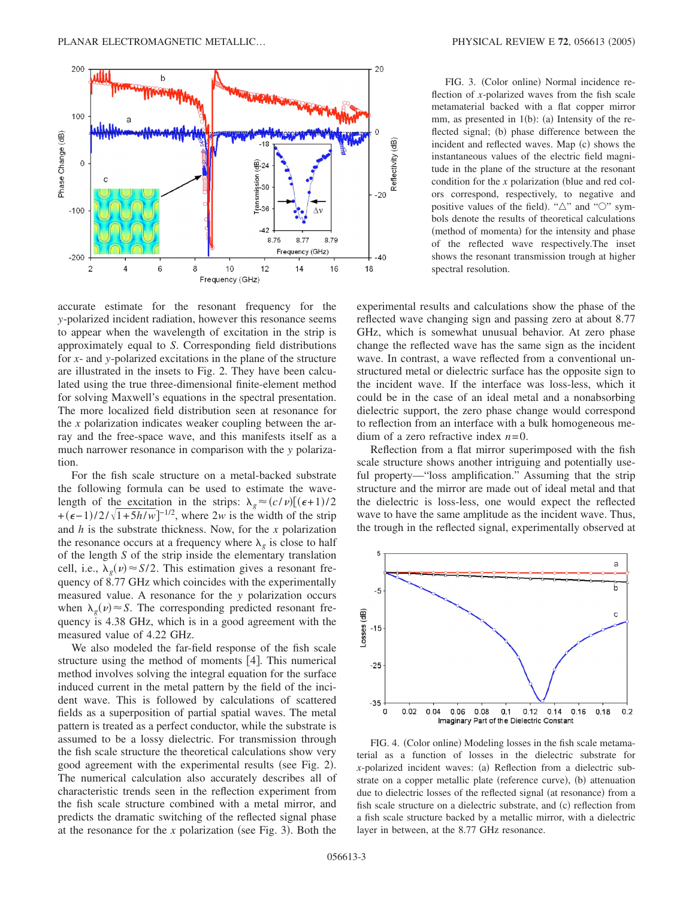

accurate estimate for the resonant frequency for the *y*-polarized incident radiation, however this resonance seems to appear when the wavelength of excitation in the strip is approximately equal to *S*. Corresponding field distributions for *x*- and *y*-polarized excitations in the plane of the structure are illustrated in the insets to Fig. 2. They have been calculated using the true three-dimensional finite-element method for solving Maxwell's equations in the spectral presentation. The more localized field distribution seen at resonance for the *x* polarization indicates weaker coupling between the array and the free-space wave, and this manifests itself as a much narrower resonance in comparison with the *y* polarization.

For the fish scale structure on a metal-backed substrate the following formula can be used to estimate the wavelength of the excitation in the strips:  $\lambda_g \approx (c/v) [(\epsilon + 1)/2]$  $+(\epsilon-1)/2/\sqrt{1+5h/w}$ <sup>-1/2</sup>, where 2*w* is the width of the strip and *h* is the substrate thickness. Now, for the *x* polarization the resonance occurs at a frequency where  $\lambda_g$  is close to half of the length *S* of the strip inside the elementary translation cell, i.e.,  $\lambda_g(\nu) \approx S/2$ . This estimation gives a resonant frequency of 8.77 GHz which coincides with the experimentally measured value. A resonance for the *y* polarization occurs when  $\lambda_g(\nu) \approx S$ . The corresponding predicted resonant frequency is 4.38 GHz, which is in a good agreement with the measured value of 4.22 GHz.

We also modeled the far-field response of the fish scale structure using the method of moments  $[4]$ . This numerical method involves solving the integral equation for the surface induced current in the metal pattern by the field of the incident wave. This is followed by calculations of scattered fields as a superposition of partial spatial waves. The metal pattern is treated as a perfect conductor, while the substrate is assumed to be a lossy dielectric. For transmission through the fish scale structure the theoretical calculations show very good agreement with the experimental results (see Fig. 2). The numerical calculation also accurately describes all of characteristic trends seen in the reflection experiment from the fish scale structure combined with a metal mirror, and predicts the dramatic switching of the reflected signal phase at the resonance for the  $x$  polarization (see Fig. 3). Both the

FIG. 3. (Color online) Normal incidence reflection of *x*-polarized waves from the fish scale metamaterial backed with a flat copper mirror mm, as presented in  $1(b)$ : (a) Intensity of the reflected signal; (b) phase difference between the incident and reflected waves. Map (c) shows the instantaneous values of the electric field magnitude in the plane of the structure at the resonant condition for the *x* polarization (blue and red colors correspond, respectively, to negative and positive values of the field). " $\triangle$ " and " $\bigcirc$ " symbols denote the results of theoretical calculations (method of momenta) for the intensity and phase of the reflected wave respectively.The inset shows the resonant transmission trough at higher spectral resolution.

experimental results and calculations show the phase of the reflected wave changing sign and passing zero at about 8.77 GHz, which is somewhat unusual behavior. At zero phase change the reflected wave has the same sign as the incident wave. In contrast, a wave reflected from a conventional unstructured metal or dielectric surface has the opposite sign to the incident wave. If the interface was loss-less, which it could be in the case of an ideal metal and a nonabsorbing dielectric support, the zero phase change would correspond to reflection from an interface with a bulk homogeneous medium of a zero refractive index *n*=0.

Reflection from a flat mirror superimposed with the fish scale structure shows another intriguing and potentially useful property—"loss amplification." Assuming that the strip structure and the mirror are made out of ideal metal and that the dielectric is loss-less, one would expect the reflected wave to have the same amplitude as the incident wave. Thus, the trough in the reflected signal, experimentally observed at



FIG. 4. (Color online) Modeling losses in the fish scale metamaterial as a function of losses in the dielectric substrate for *x*-polarized incident waves: (a) Reflection from a dielectric substrate on a copper metallic plate (reference curve), (b) attenuation due to dielectric losses of the reflected signal (at resonance) from a fish scale structure on a dielectric substrate, and (c) reflection from a fish scale structure backed by a metallic mirror, with a dielectric layer in between, at the 8.77 GHz resonance.